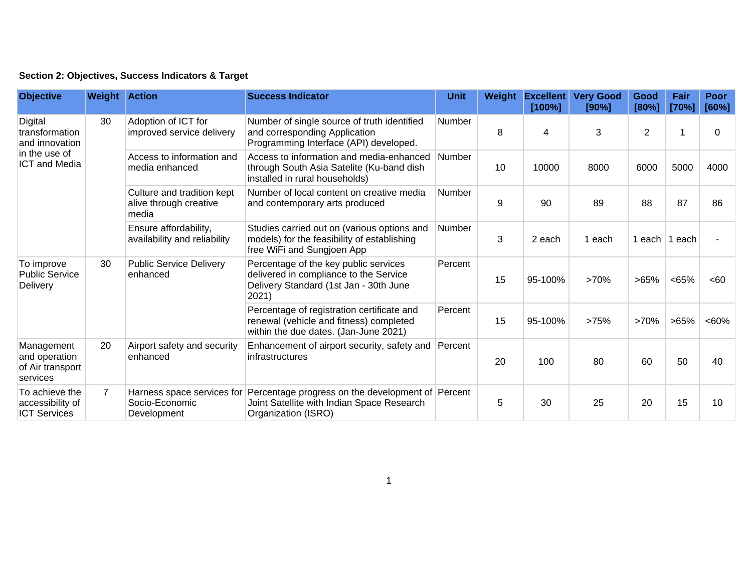## **Section 2: Objectives, Success Indicators & Target**

| <b>Objective</b>                                                                     | <b>Weight Action</b> |                                                               | <b>Success Indicator</b>                                                                                                           | Unit          | Weight | <b>Excellent</b><br>[100%] | <b>Very Good</b><br>[90%] | Good<br>[80%]  | Fair<br>[70%] | Poor<br>[60%] |
|--------------------------------------------------------------------------------------|----------------------|---------------------------------------------------------------|------------------------------------------------------------------------------------------------------------------------------------|---------------|--------|----------------------------|---------------------------|----------------|---------------|---------------|
| Digital<br>transformation<br>and innovation<br>in the use of<br><b>ICT and Media</b> | 30                   | Adoption of ICT for<br>improved service delivery              | Number of single source of truth identified<br>and corresponding Application<br>Programming Interface (API) developed.             | Number        | 8      | 4                          | 3                         | $\overline{2}$ |               | 0             |
|                                                                                      |                      | Access to information and<br>media enhanced                   | Access to information and media-enhanced<br>through South Asia Satelite (Ku-band dish<br>installed in rural households)            | <b>Number</b> | 10     | 10000                      | 8000                      | 6000           | 5000          | 4000          |
|                                                                                      |                      | Culture and tradition kept<br>alive through creative<br>media | Number of local content on creative media<br>and contemporary arts produced                                                        | <b>Number</b> | 9      | 90                         | 89                        | 88             | 87            | 86            |
|                                                                                      |                      | Ensure affordability,<br>availability and reliability         | Studies carried out on (various options and<br>models) for the feasibility of establishing<br>free WiFi and Sungjoen App           | <b>Number</b> | 3      | 2 each                     | 1 each                    | 1 each         | ∣1 each.      |               |
| To improve<br><b>Public Service</b><br>Delivery                                      | 30                   | <b>Public Service Delivery</b><br>enhanced                    | Percentage of the key public services<br>delivered in compliance to the Service<br>Delivery Standard (1st Jan - 30th June<br>2021) | Percent       | 15     | 95-100%                    | >70%                      | >65%           | <65%          | <60           |
|                                                                                      |                      |                                                               | Percentage of registration certificate and<br>renewal (vehicle and fitness) completed<br>within the due dates. (Jan-June 2021)     | Percent       | 15     | 95-100%                    | >75%                      | >70%           | $>65\%$       | <60%          |
| Management<br>and operation<br>of Air transport<br>services                          | 20                   | Airport safety and security<br>enhanced                       | Enhancement of airport security, safety and Percent<br>infrastructures                                                             |               | 20     | 100                        | 80                        | 60             | 50            | 40            |
| To achieve the<br>accessibility of<br><b>ICT Services</b>                            | $\overline{7}$       | Harness space services for<br>Socio-Economic<br>Development   | Percentage progress on the development of Percent<br>Joint Satellite with Indian Space Research<br>Organization (ISRO)             |               | 5      | 30                         | 25                        | 20             | 15            | 10            |